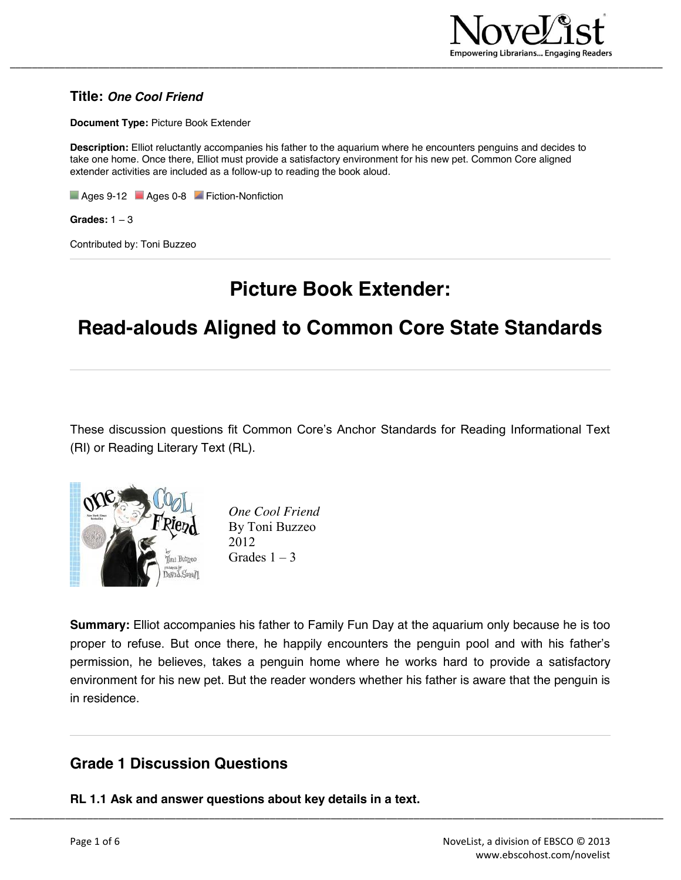

#### **Title:** *One Cool Friend*

**Document Type:** Picture Book Extender

**Description:** Elliot reluctantly accompanies his father to the aquarium where he encounters penguins and decides to take one home. Once there, Elliot must provide a satisfactory environment for his new pet. Common Core aligned extender activities are included as a follow-up to reading the book aloud.

Ages 9-12 **Ages 0-8** Fiction-Nonfiction

**Grades:** 1 – 3

Contributed by: Toni Buzzeo

# **Picture Book Extender:**

# **Read-alouds Aligned to Common Core State Standards**

These discussion questions fit Common Core's Anchor Standards for Reading Informational Text (RI) or Reading Literary Text (RL).



*One Cool Friend* By Toni Buzzeo 2012 Grades  $1 - 3$ 

**Summary:** Elliot accompanies his father to Family Fun Day at the aquarium only because he is too proper to refuse. But once there, he happily encounters the penguin pool and with his father's permission, he believes, takes a penguin home where he works hard to provide a satisfactory environment for his new pet. But the reader wonders whether his father is aware that the penguin is in residence.

\_\_\_\_\_\_\_\_\_\_\_\_\_\_\_\_\_\_\_\_\_\_\_\_\_\_\_\_\_\_\_\_\_\_\_\_\_\_\_\_\_\_\_\_\_\_\_\_\_\_\_\_\_\_\_\_\_\_\_\_\_\_\_\_\_\_\_\_\_\_\_\_\_\_\_\_\_\_\_\_\_\_\_\_\_\_\_\_\_\_\_\_\_\_\_\_\_\_\_\_\_\_\_\_\_\_\_\_\_\_\_\_\_\_\_\_\_\_

# **Grade 1 Discussion Questions**

**RL 1.1 Ask and answer questions about key details in a text.**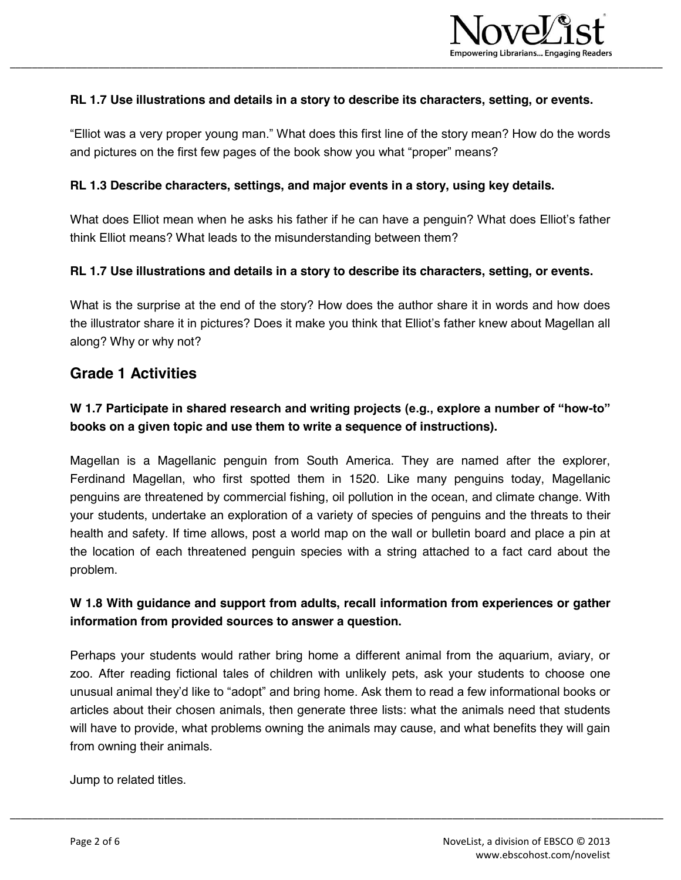

#### **RL 1.7 Use illustrations and details in a story to describe its characters, setting, or events.**

"Elliot was a very proper young man." What does this first line of the story mean? How do the words and pictures on the first few pages of the book show you what "proper" means?

#### **RL 1.3 Describe characters, settings, and major events in a story, using key details.**

What does Elliot mean when he asks his father if he can have a penguin? What does Elliot's father think Elliot means? What leads to the misunderstanding between them?

#### **RL 1.7 Use illustrations and details in a story to describe its characters, setting, or events.**

What is the surprise at the end of the story? How does the author share it in words and how does the illustrator share it in pictures? Does it make you think that Elliot's father knew about Magellan all along? Why or why not?

#### **Grade 1 Activities**

#### **W 1.7 Participate in shared research and writing projects (e.g., explore a number of "how-to" books on a given topic and use them to write a sequence of instructions).**

Magellan is a Magellanic penguin from South America. They are named after the explorer, Ferdinand Magellan, who first spotted them in 1520. Like many penguins today, Magellanic penguins are threatened by commercial fishing, oil pollution in the ocean, and climate change. With your students, undertake an exploration of a variety of species of penguins and the threats to their health and safety. If time allows, post a world map on the wall or bulletin board and place a pin at the location of each threatened penguin species with a string attached to a fact card about the problem.

#### **W 1.8 With guidance and support from adults, recall information from experiences or gather information from provided sources to answer a question.**

Perhaps your students would rather bring home a different animal from the aquarium, aviary, or zoo. After reading fictional tales of children with unlikely pets, ask your students to choose one unusual animal they'd like to "adopt" and bring home. Ask them to read a few informational books or articles about their chosen animals, then generate three lists: what the animals need that students will have to provide, what problems owning the animals may cause, and what benefits they will gain from owning their animals.

\_\_\_\_\_\_\_\_\_\_\_\_\_\_\_\_\_\_\_\_\_\_\_\_\_\_\_\_\_\_\_\_\_\_\_\_\_\_\_\_\_\_\_\_\_\_\_\_\_\_\_\_\_\_\_\_\_\_\_\_\_\_\_\_\_\_\_\_\_\_\_\_\_\_\_\_\_\_\_\_\_\_\_\_\_\_\_\_\_\_\_\_\_\_\_\_\_\_\_\_\_\_\_\_\_\_\_\_\_\_\_\_\_\_\_\_\_\_

Jump to related titles.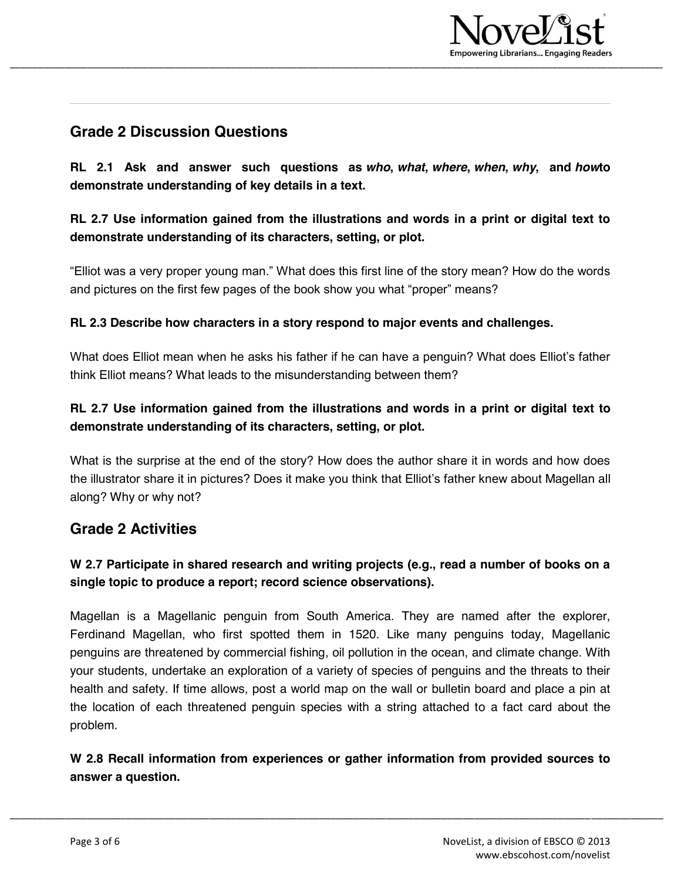

# **Grade 2 Discussion Questions**

**RL 2.1 Ask and answer such questions as** *who***,** *what***,** *where***,** *when***,** *why***, and** *how***to demonstrate understanding of key details in a text.**

## **RL 2.7 Use information gained from the illustrations and words in a print or digital text to demonstrate understanding of its characters, setting, or plot.**

"Elliot was a very proper young man." What does this first line of the story mean? How do the words and pictures on the first few pages of the book show you what "proper" means?

#### **RL 2.3 Describe how characters in a story respond to major events and challenges.**

What does Elliot mean when he asks his father if he can have a penguin? What does Elliot's father think Elliot means? What leads to the misunderstanding between them?

## **RL 2.7 Use information gained from the illustrations and words in a print or digital text to demonstrate understanding of its characters, setting, or plot.**

What is the surprise at the end of the story? How does the author share it in words and how does the illustrator share it in pictures? Does it make you think that Elliot's father knew about Magellan all along? Why or why not?

# **Grade 2 Activities**

## **W 2.7 Participate in shared research and writing projects (e.g., read a number of books on a single topic to produce a report; record science observations).**

Magellan is a Magellanic penguin from South America. They are named after the explorer, Ferdinand Magellan, who first spotted them in 1520. Like many penguins today, Magellanic penguins are threatened by commercial fishing, oil pollution in the ocean, and climate change. With your students, undertake an exploration of a variety of species of penguins and the threats to their health and safety. If time allows, post a world map on the wall or bulletin board and place a pin at the location of each threatened penguin species with a string attached to a fact card about the problem.

**W 2.8 Recall information from experiences or gather information from provided sources to answer a question.**

\_\_\_\_\_\_\_\_\_\_\_\_\_\_\_\_\_\_\_\_\_\_\_\_\_\_\_\_\_\_\_\_\_\_\_\_\_\_\_\_\_\_\_\_\_\_\_\_\_\_\_\_\_\_\_\_\_\_\_\_\_\_\_\_\_\_\_\_\_\_\_\_\_\_\_\_\_\_\_\_\_\_\_\_\_\_\_\_\_\_\_\_\_\_\_\_\_\_\_\_\_\_\_\_\_\_\_\_\_\_\_\_\_\_\_\_\_\_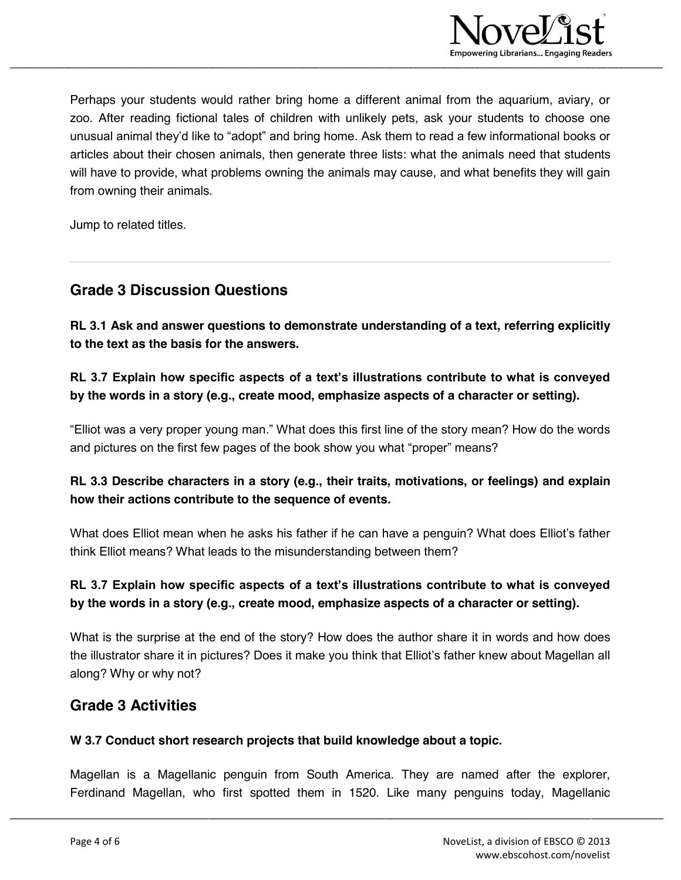

Perhaps your students would rather bring home a different animal from the aquarium, aviary, or zoo. After reading fictional tales of children with unlikely pets, ask your students to choose one unusual animal they'd like to "adopt" and bring home. Ask them to read a few informational books or articles about their chosen animals, then generate three lists: what the animals need that students will have to provide, what problems owning the animals may cause, and what benefits they will gain from owning their animals.

Jump to related titles.

## **Grade 3 Discussion Questions**

**RL 3.1 Ask and answer questions to demonstrate understanding of a text, referring explicitly to the text as the basis for the answers.**

### **RL 3.7 Explain how specific aspects of a text's illustrations contribute to what is conveyed by the words in a story (e.g., create mood, emphasize aspects of a character or setting).**

"Elliot was a very proper young man." What does this first line of the story mean? How do the words and pictures on the first few pages of the book show you what "proper" means?

### **RL 3.3 Describe characters in a story (e.g., their traits, motivations, or feelings) and explain how their actions contribute to the sequence of events.**

What does Elliot mean when he asks his father if he can have a penguin? What does Elliot's father think Elliot means? What leads to the misunderstanding between them?

## **RL 3.7 Explain how specific aspects of a text's illustrations contribute to what is conveyed by the words in a story (e.g., create mood, emphasize aspects of a character or setting).**

What is the surprise at the end of the story? How does the author share it in words and how does the illustrator share it in pictures? Does it make you think that Elliot's father knew about Magellan all along? Why or why not?

### **Grade 3 Activities**

#### **W 3.7 Conduct short research projects that build knowledge about a topic.**

Magellan is a Magellanic penguin from South America. They are named after the explorer, Ferdinand Magellan, who first spotted them in 1520. Like many penguins today, Magellanic

\_\_\_\_\_\_\_\_\_\_\_\_\_\_\_\_\_\_\_\_\_\_\_\_\_\_\_\_\_\_\_\_\_\_\_\_\_\_\_\_\_\_\_\_\_\_\_\_\_\_\_\_\_\_\_\_\_\_\_\_\_\_\_\_\_\_\_\_\_\_\_\_\_\_\_\_\_\_\_\_\_\_\_\_\_\_\_\_\_\_\_\_\_\_\_\_\_\_\_\_\_\_\_\_\_\_\_\_\_\_\_\_\_\_\_\_\_\_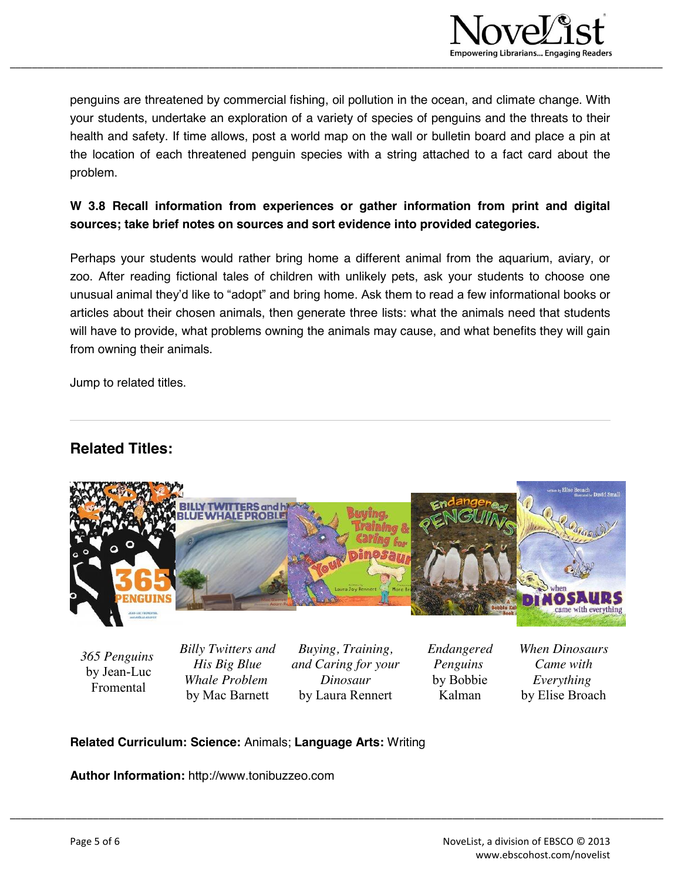

penguins are threatened by commercial fishing, oil pollution in the ocean, and climate change. With your students, undertake an exploration of a variety of species of penguins and the threats to their health and safety. If time allows, post a world map on the wall or bulletin board and place a pin at the location of each threatened penguin species with a string attached to a fact card about the problem.

### **W 3.8 Recall information from experiences or gather information from print and digital sources; take brief notes on sources and sort evidence into provided categories.**

Perhaps your students would rather bring home a different animal from the aquarium, aviary, or zoo. After reading fictional tales of children with unlikely pets, ask your students to choose one unusual animal they'd like to "adopt" and bring home. Ask them to read a few informational books or articles about their chosen animals, then generate three lists: what the animals need that students will have to provide, what problems owning the animals may cause, and what benefits they will gain from owning their animals.

Jump to related titles.

# **Related Titles:**



*365 Penguins* by Jean-Luc Fromental

*Billy Twitters and His Big Blue Whale Problem* by Mac Barnett

*Buying, Training, and Caring for your Dinosaur* by Laura Rennert

\_\_\_\_\_\_\_\_\_\_\_\_\_\_\_\_\_\_\_\_\_\_\_\_\_\_\_\_\_\_\_\_\_\_\_\_\_\_\_\_\_\_\_\_\_\_\_\_\_\_\_\_\_\_\_\_\_\_\_\_\_\_\_\_\_\_\_\_\_\_\_\_\_\_\_\_\_\_\_\_\_\_\_\_\_\_\_\_\_\_\_\_\_\_\_\_\_\_\_\_\_\_\_\_\_\_\_\_\_\_\_\_\_\_\_\_\_\_

*Endangered Penguins* by Bobbie Kalman

*When Dinosaurs Came with Everything* by Elise Broach

#### **Related Curriculum: Science:** Animals; **Language Arts:** Writing

**Author Information:** http://www.tonibuzzeo.com